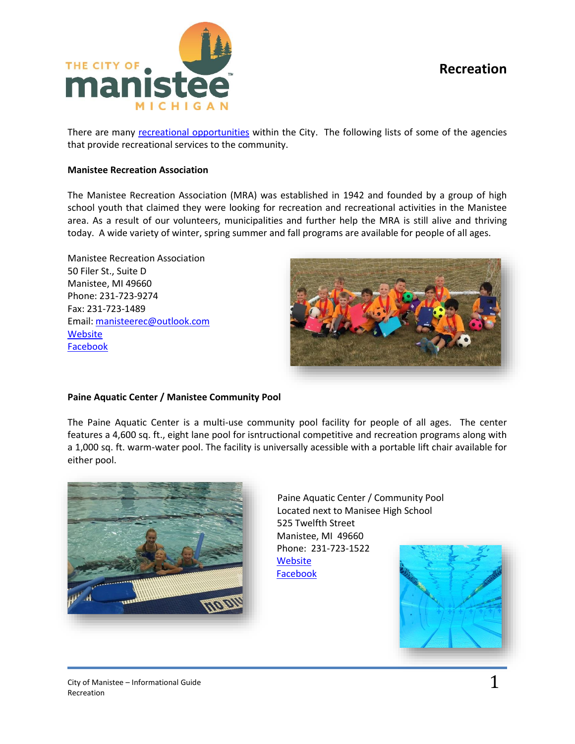# **Recreation**



There are many [recreational opportunities](http://manisteemi.gov/index.aspx?NID=35) within the City. The following lists of some of the agencies that provide recreational services to the community.

## **Manistee Recreation Association**

The Manistee Recreation Association (MRA) was established in 1942 and founded by a group of high school youth that claimed they were looking for recreation and recreational activities in the Manistee area. As a result of our volunteers, municipalities and further help the MRA is still alive and thriving today. A wide variety of winter, spring summer and fall programs are available for people of all ages.

Manistee Recreation Association 50 Filer St., Suite D Manistee, MI 49660 Phone: 231-723-9274 Fax: 231-723-1489 Email: [manisteerec@outlook.com](mailto:manisteerec@outlook.com)  **[Website](http://www.manisteemra.com/?p=1)** [Facebook](https://www.facebook.com/manisteeMRA/?ref=nf&hc_ref=ARSZkgdDBb5WKp0pZ6v4JJRwylQhXCwWxEAc12UndVqqCpwqrGLuPta4kyOF0XsQtl0)



### **Paine Aquatic Center / Manistee Community Pool**

The Paine Aquatic Center is a multi-use community pool facility for people of all ages. The center features a 4,600 sq. ft., eight lane pool for isntructional competitive and recreation programs along with a 1,000 sq. ft. warm-water pool. The facility is universally acessible with a portable lift chair available for either pool.



Paine Aquatic Center / Community Pool Located next to Manisee High School 525 Twelfth Street Manistee, MI 49660 Phone: 231-723-1522 **[Website](https://chipslead.org/project/paine-aquatic-center/)** [Facebook](https://www.facebook.com/pages/The%20Paine%20Aquatic%20Center/185507918129400/)